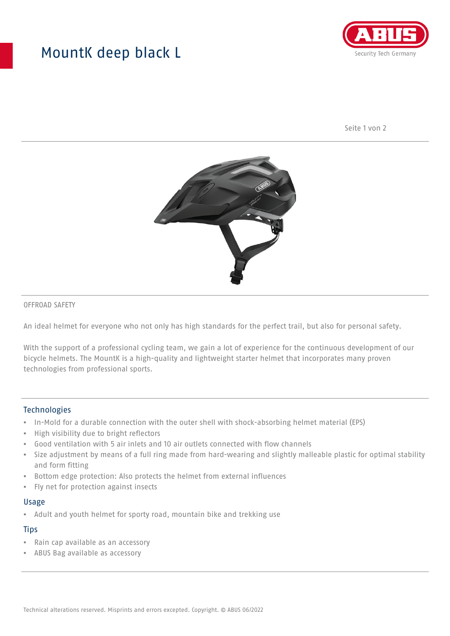## MountK deep black L



Seite 1 von 2



#### OFFROAD SAFETY

An ideal helmet for everyone who not only has high standards for the perfect trail, but also for personal safety.

With the support of a professional cycling team, we gain a lot of experience for the continuous development of our bicycle helmets. The MountK is a high-quality and lightweight starter helmet that incorporates many proven technologies from professional sports.

### **Technologies**

- In-Mold for a durable connection with the outer shell with shock-absorbing helmet material (EPS)
- High visibility due to bright reflectors
- Good ventilation with 5 air inlets and 10 air outlets connected with flow channels
- Size adjustment by means of a full ring made from hard-wearing and slightly malleable plastic for optimal stability and form fitting
- Bottom edge protection: Also protects the helmet from external influences
- Fly net for protection against insects

#### Usage

• Adult and youth helmet for sporty road, mountain bike and trekking use

## **Tips**

- Rain cap available as an accessory
- ABUS Bag available as accessory